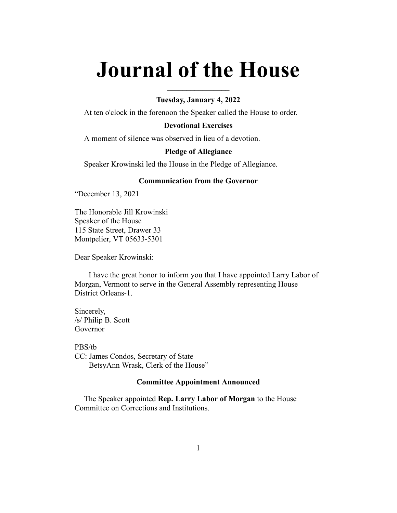# **Journal of the House**

# **Tuesday, January 4, 2022**

**\_\_\_\_\_\_\_\_\_\_\_\_\_\_\_\_**

At ten o'clock in the forenoon the Speaker called the House to order.

# **Devotional Exercises**

A moment of silence was observed in lieu of a devotion.

# **Pledge of Allegiance**

Speaker Krowinski led the House in the Pledge of Allegiance.

# **Communication from the Governor**

"December 13, 2021

The Honorable Jill Krowinski Speaker of the House 115 State Street, Drawer 33 Montpelier, VT 05633-5301

Dear Speaker Krowinski:

I have the great honor to inform you that I have appointed Larry Labor of Morgan, Vermont to serve in the General Assembly representing House District Orleans-1.

Sincerely, /s/ Philip B. Scott Governor

PBS/tb CC: James Condos, Secretary of State BetsyAnn Wrask, Clerk of the House"

# **Committee Appointment Announced**

The Speaker appointed **Rep. Larry Labor of Morgan** to the House Committee on Corrections and Institutions.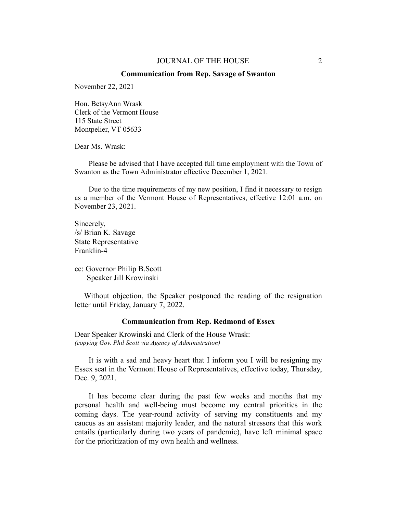#### **Communication from Rep. Savage of Swanton**

November 22, 2021

Hon. BetsyAnn Wrask Clerk of the Vermont House 115 State Street Montpelier, VT 05633

Dear Ms. Wrask:

Please be advised that I have accepted full time employment with the Town of Swanton as the Town Administrator effective December 1, 2021.

Due to the time requirements of my new position, I find it necessary to resign as a member of the Vermont House of Representatives, effective 12:01 a.m. on November 23, 2021.

Sincerely, /s/ Brian K. Savage State Representative Franklin-4

cc: Governor Philip B.Scott Speaker Jill Krowinski

Without objection, the Speaker postponed the reading of the resignation letter until Friday, January 7, 2022.

#### **Communication from Rep. Redmond of Essex**

Dear Speaker Krowinski and Clerk of the House Wrask: *(copying Gov. Phil Scott via Agency of Administration)*

It is with a sad and heavy heart that I inform you I will be resigning my Essex seat in the Vermont House of Representatives, effective today, Thursday, Dec. 9, 2021.

It has become clear during the past few weeks and months that my personal health and well-being must become my central priorities in the coming days. The year-round activity of serving my constituents and my caucus as an assistant majority leader, and the natural stressors that this work entails (particularly during two years of pandemic), have left minimal space for the prioritization of my own health and wellness.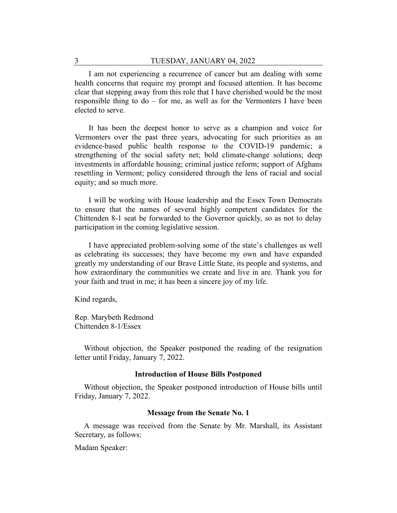I am not experiencing a recurrence of cancer but am dealing with some health concerns that require my prompt and focused attention. It has become clear that stepping away from this role that I have cherished would be the most responsible thing to do – for me, as well as for the Vermonters I have been elected to serve.

It has been the deepest honor to serve as a champion and voice for Vermonters over the past three years, advocating for such priorities as an evidence-based public health response to the COVID-19 pandemic; a strengthening of the social safety net; bold climate-change solutions; deep investments in affordable housing; criminal justice reform; support of Afghans resettling in Vermont; policy considered through the lens of racial and social equity; and so much more.

I will be working with House leadership and the Essex Town Democrats to ensure that the names of several highly competent candidates for the Chittenden 8-1 seat be forwarded to the Governor quickly, so as not to delay participation in the coming legislative session.

I have appreciated problem-solving some of the state's challenges as well as celebrating its successes; they have become my own and have expanded greatly my understanding of our Brave Little State, its people and systems, and how extraordinary the communities we create and live in are. Thank you for your faith and trust in me; it has been a sincere joy of my life.

Kind regards,

Rep. Marybeth Redmond Chittenden 8-1/Essex

Without objection, the Speaker postponed the reading of the resignation letter until Friday, January 7, 2022.

# **Introduction of House Bills Postponed**

Without objection, the Speaker postponed introduction of House bills until Friday, January 7, 2022.

# **Message from the Senate No. 1**

A message was received from the Senate by Mr. Marshall, its Assistant Secretary, as follows:

Madam Speaker: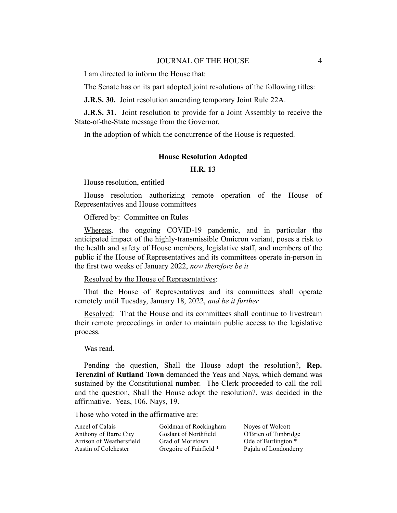I am directed to inform the House that:

The Senate has on its part adopted joint resolutions of the following titles:

**J.R.S. 30.** Joint resolution amending temporary Joint Rule 22A.

**J.R.S. 31.** Joint resolution to provide for a Joint Assembly to receive the State-of-the-State message from the Governor.

In the adoption of which the concurrence of the House is requested.

# **House Resolution Adopted**

# **H.R. 13**

House resolution, entitled

House resolution authorizing remote operation of the House of Representatives and House committees

Offered by: Committee on Rules

Whereas, the ongoing COVID-19 pandemic, and in particular the anticipated impact of the highly-transmissible Omicron variant, poses a risk to the health and safety of House members, legislative staff, and members of the public if the House of Representatives and its committees operate in-person in the first two weeks of January 2022, *now therefore be it*

Resolved by the House of Representatives:

That the House of Representatives and its committees shall operate remotely until Tuesday, January 18, 2022, *and be it further*

Resolved: That the House and its committees shall continue to livestream their remote proceedings in order to maintain public access to the legislative process.

Was read.

Pending the question, Shall the House adopt the resolution?, **Rep. Terenzini of Rutland Town** demanded the Yeas and Nays, which demand was sustained by the Constitutional number. The Clerk proceeded to call the roll and the question, Shall the House adopt the resolution?, was decided in the affirmative. Yeas, 106. Nays, 19.

Those who voted in the affirmative are:

| Ancel of Calais          | Goldman of Rockingham   | Noyes of Wolcott      |
|--------------------------|-------------------------|-----------------------|
| Anthony of Barre City    | Goslant of Northfield   | O'Brien of Tunbridge  |
| Arrison of Weathersfield | Grad of Moretown        | Ode of Burlington *   |
| Austin of Colchester     | Gregoire of Fairfield * | Pajala of Londonderry |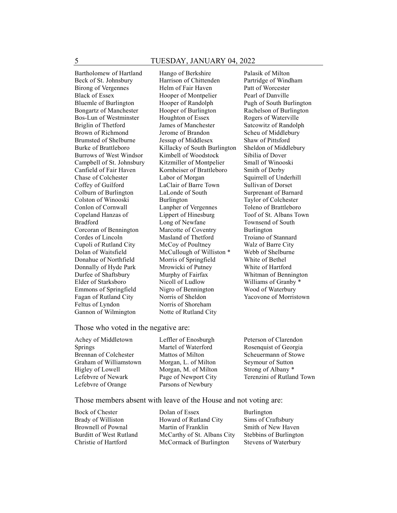Bartholomew of Hartland Beck of St. Johnsbury Birong of Vergennes Black of Essex Bluemle of Burlington Bongartz of Manchester Bos-Lun of Westminster Briglin of Thetford Brown of Richmond Brumsted of Shelburne Burke of Brattleboro Burrows of West Windsor Campbell of St. Johnsbury Canfield of Fair Haven Chase of Colchester Coffey of Guilford Colburn of Burlington Colston of Winooski Conlon of Cornwall Copeland Hanzas of Bradford Corcoran of Bennington Cordes of Lincoln Cupoli of Rutland City Dolan of Waitsfield Donahue of Northfield Donnally of Hyde Park Durfee of Shaftsbury Elder of Starksboro Emmons of Springfield Fagan of Rutland City Feltus of Lyndon Gannon of Wilmington

Hango of Berkshire Harrison of Chittenden Helm of Fair Haven Hooper of Montpelier Hooper of Randolph Hooper of Burlington Houghton of Essex James of Manchester Jerome of Brandon Jessup of Middlesex Killacky of South Burlington Kimbell of Woodstock Kitzmiller of Montpelier Kornheiser of Brattleboro Labor of Morgan LaClair of Barre Town LaLonde of South Burlington Lanpher of Vergennes Lippert of Hinesburg Long of Newfane Marcotte of Coventry Masland of Thetford McCoy of Poultney McCullough of Williston \* Morris of Springfield Mrowicki of Putney Murphy of Fairfax Nicoll of Ludlow Nigro of Bennington Norris of Sheldon Norris of Shoreham Notte of Rutland City

Palasik of Milton Partridge of Windham Patt of Worcester Pearl of Danville Pugh of South Burlington Rachelson of Burlington Rogers of Waterville Satcowitz of Randolph Scheu of Middlebury Shaw of Pittsford Sheldon of Middlebury Sibilia of Dover Small of Winooski Smith of Derby Squirrell of Underhill Sullivan of Dorset Surprenant of Barnard Taylor of Colchester Toleno of Brattleboro Toof of St. Albans Town Townsend of South Burlington Troiano of Stannard Walz of Barre City Webb of Shelburne White of Bethel White of Hartford Whitman of Bennington Williams of Granby \* Wood of Waterbury Yacovone of Morristown

#### Those who voted in the negative are:

| Achey of Middletown<br><b>Springs</b><br>Brennan of Colchester<br>Graham of Williamstown<br>Higley of Lowell<br>Lefebvre of Newark | Leffler of Enosburgh<br>Martel of Waterford<br>Mattos of Milton<br>Morgan, L. of Milton<br>Morgan, M. of Milton<br>Page of Newport City | Peterson of Clarendon<br>Rosenquist of Georgia<br>Scheuermann of Stowe<br>Seymour of Sutton<br>Strong of Albany*<br>Terenzini of Rutland Town |
|------------------------------------------------------------------------------------------------------------------------------------|-----------------------------------------------------------------------------------------------------------------------------------------|-----------------------------------------------------------------------------------------------------------------------------------------------|
| Lefebvre of Orange                                                                                                                 | Parsons of Newbury                                                                                                                      |                                                                                                                                               |
|                                                                                                                                    |                                                                                                                                         |                                                                                                                                               |

#### Those members absent with leave of the House and not voting are:

| Bock of Chester         | Dolan of Essex              | Burlington             |
|-------------------------|-----------------------------|------------------------|
| Brady of Williston      | Howard of Rutland City      | Sims of Craftsbury     |
| Brownell of Pownal      | Martin of Franklin          | Smith of New Haven     |
| Burditt of West Rutland | McCarthy of St. Albans City | Stebbins of Burlington |
| Christie of Hartford    | McCormack of Burlington     | Stevens of Waterbury   |
|                         |                             |                        |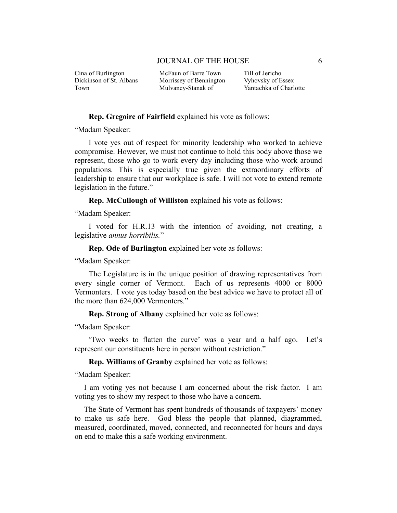Cina of Burlington Dickinson of St. Albans Town

McFaun of Barre Town Morrissey of Bennington Mulvaney-Stanak of

Till of Jericho Vyhovsky of Essex Yantachka of Charlotte

## **Rep. Gregoire of Fairfield** explained his vote as follows:

"Madam Speaker:

I vote yes out of respect for minority leadership who worked to achieve compromise. However, we must not continue to hold this body above those we represent, those who go to work every day including those who work around populations. This is especially true given the extraordinary efforts of leadership to ensure that our workplace is safe. I will not vote to extend remote legislation in the future."

**Rep. McCullough of Williston** explained his vote as follows:

"Madam Speaker:

I voted for H.R.13 with the intention of avoiding, not creating, a legislative *annus horribilis.*"

**Rep. Ode of Burlington** explained her vote as follows:

"Madam Speaker:

The Legislature is in the unique position of drawing representatives from every single corner of Vermont. Each of us represents 4000 or 8000 Vermonters. I vote yes today based on the best advice we have to protect all of the more than 624,000 Vermonters."

**Rep. Strong of Albany** explained her vote as follows:

"Madam Speaker:

'Two weeks to flatten the curve' was a year and a half ago. Let's represent our constituents here in person without restriction."

**Rep. Williams of Granby** explained her vote as follows:

"Madam Speaker:

I am voting yes not because I am concerned about the risk factor. I am voting yes to show my respect to those who have a concern.

The State of Vermont has spent hundreds of thousands of taxpayers' money to make us safe here. God bless the people that planned, diagrammed, measured, coordinated, moved, connected, and reconnected for hours and days on end to make this a safe working environment.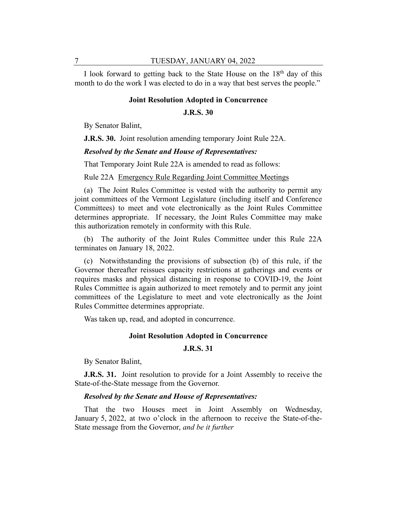I look forward to getting back to the State House on the  $18<sup>th</sup>$  day of this month to do the work I was elected to do in a way that best serves the people."

## **Joint Resolution Adopted in Concurrence**

#### **J.R.S. 30**

By Senator Balint,

**J.R.S. 30.** Joint resolution amending temporary Joint Rule 22A.

## *Resolved by the Senate and House of Representatives:*

That Temporary Joint Rule 22A is amended to read as follows:

Rule 22A Emergency Rule Regarding Joint Committee Meetings

(a) The Joint Rules Committee is vested with the authority to permit any joint committees of the Vermont Legislature (including itself and Conference Committees) to meet and vote electronically as the Joint Rules Committee determines appropriate. If necessary, the Joint Rules Committee may make this authorization remotely in conformity with this Rule.

(b) The authority of the Joint Rules Committee under this Rule 22A terminates on January 18, 2022.

(c) Notwithstanding the provisions of subsection (b) of this rule, if the Governor thereafter reissues capacity restrictions at gatherings and events or requires masks and physical distancing in response to COVID-19, the Joint Rules Committee is again authorized to meet remotely and to permit any joint committees of the Legislature to meet and vote electronically as the Joint Rules Committee determines appropriate.

Was taken up, read, and adopted in concurrence.

# **Joint Resolution Adopted in Concurrence**

## **J.R.S. 31**

By Senator Balint,

**J.R.S. 31.** Joint resolution to provide for a Joint Assembly to receive the State-of-the-State message from the Governor.

# *Resolved by the Senate and House of Representatives:*

That the two Houses meet in Joint Assembly on Wednesday, January 5, 2022, at two o'clock in the afternoon to receive the State-of-the-State message from the Governor, *and be it further*